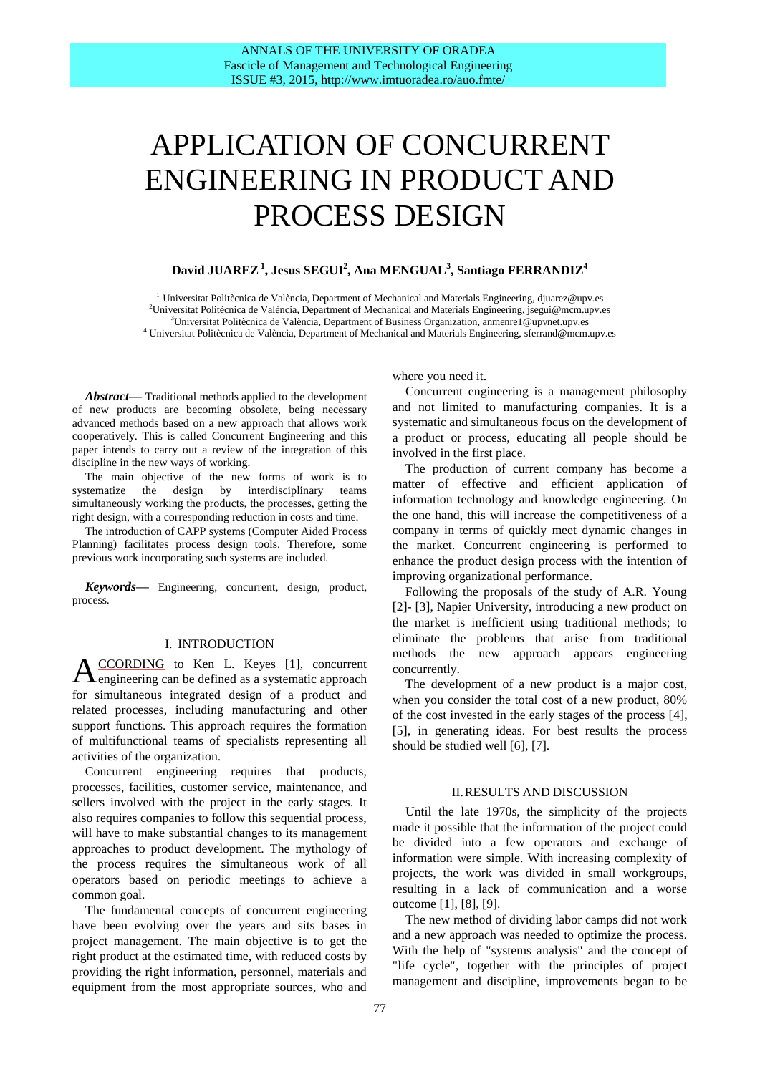# APPLICATION OF CONCURRENT ENGINEERING IN PRODUCT AND PROCESS DESIGN

# **David JUAREZ<sup>1</sup> , Jesus SEGUI<sup>2</sup> , Ana MENGUAL<sup>3</sup> , Santiago FERRANDIZ<sup>4</sup>**

<sup>1</sup> Universitat Politècnica de València, Department of Mechanical and Materials Engineering, djuarez@upv.es Universitat Politècnica de València, Department of Mechanical and Materials Engineering, jsegui@mcm.upv.es Universitat Politècnica de València, Department of Business Organization, anmenre1@upvnet.upv.es Universitat Politècnica de València, Department of Mechanical and Materials Engineering, sferrand@mcm.upv.es

*Abstract***—** Traditional methods applied to the development of new products are becoming obsolete, being necessary advanced methods based on a new approach that allows work cooperatively. This is called Concurrent Engineering and this paper intends to carry out a review of the integration of this discipline in the new ways of working.

The main objective of the new forms of work is to systematize the design by interdisciplinary teams simultaneously working the products, the processes, getting the right design, with a corresponding reduction in costs and time.

The introduction of CAPP systems (Computer Aided Process Planning) facilitates process design tools. Therefore, some previous work incorporating such systems are included.

*Keywords***—** Engineering, concurrent, design, product, process.

#### I. INTRODUCTION

CCORDING to Ken L. Keyes [1], concurrent  $A_{\text{engineering can be defined as a systematic approach}}$ for simultaneous integrated design of a product and related processes, including manufacturing and other support functions. This approach requires the formation of multifunctional teams of specialists representing all activities of the organization.

Concurrent engineering requires that products, processes, facilities, customer service, maintenance, and sellers involved with the project in the early stages. It also requires companies to follow this sequential process, will have to make substantial changes to its management approaches to product development. The mythology of the process requires the simultaneous work of all operators based on periodic meetings to achieve a common goal.

The fundamental concepts of concurrent engineering have been evolving over the years and sits bases in project management. The main objective is to get the right product at the estimated time, with reduced costs by providing the right information, personnel, materials and equipment from the most appropriate sources, who and where you need it.

Concurrent engineering is a management philosophy and not limited to manufacturing companies. It is a systematic and simultaneous focus on the development of a product or process, educating all people should be involved in the first place.

The production of current company has become a matter of effective and efficient application of information technology and knowledge engineering. On the one hand, this will increase the competitiveness of a company in terms of quickly meet dynamic changes in the market. Concurrent engineering is performed to enhance the product design process with the intention of improving organizational performance.

Following the proposals of the study of A.R. Young [2]- [3], Napier University, introducing a new product on the market is inefficient using traditional methods; to eliminate the problems that arise from traditional methods the new approach appears engineering concurrently.

The development of a new product is a major cost, when you consider the total cost of a new product, 80% of the cost invested in the early stages of the process [4], [5], in generating ideas. For best results the process should be studied well [6], [7].

# II.RESULTS AND DISCUSSION

Until the late 1970s, the simplicity of the projects made it possible that the information of the project could be divided into a few operators and exchange of information were simple. With increasing complexity of projects, the work was divided in small workgroups, resulting in a lack of communication and a worse outcome [1], [8], [9].

The new method of dividing labor camps did not work and a new approach was needed to optimize the process. With the help of "systems analysis" and the concept of "life cycle", together with the principles of project management and discipline, improvements began to be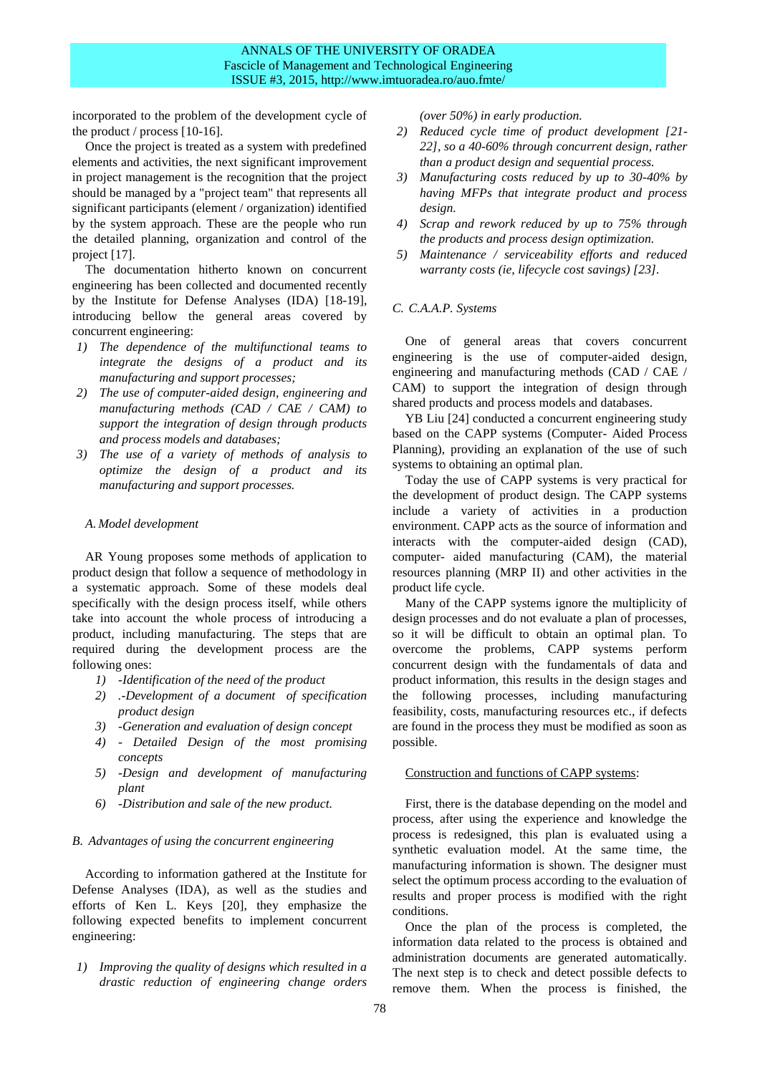incorporated to the problem of the development cycle of the product / process [10-16].

Once the project is treated as a system with predefined elements and activities, the next significant improvement in project management is the recognition that the project should be managed by a "project team" that represents all significant participants (element / organization) identified by the system approach. These are the people who run the detailed planning, organization and control of the project [17].

The documentation hitherto known on concurrent engineering has been collected and documented recently by the Institute for Defense Analyses (IDA) [18-19], introducing bellow the general areas covered by concurrent engineering:

- *1) The dependence of the multifunctional teams to integrate the designs of a product and its manufacturing and support processes;*
- *2) The use of computer-aided design, engineering and manufacturing methods (CAD / CAE / CAM) to support the integration of design through products and process models and databases;*
- *3) The use of a variety of methods of analysis to optimize the design of a product and its manufacturing and support processes.*

## *A. Model development*

AR Young proposes some methods of application to product design that follow a sequence of methodology in a systematic approach. Some of these models deal specifically with the design process itself, while others take into account the whole process of introducing a product, including manufacturing. The steps that are required during the development process are the following ones:

- *1) -Identification of the need of the product*
- *2) .-Development of a document of specification product design*
- *3) -Generation and evaluation of design concept*
- *4) - Detailed Design of the most promising concepts*
- *5) -Design and development of manufacturing plant*
- *6) -Distribution and sale of the new product.*

## *B. Advantages of using the concurrent engineering*

According to information gathered at the Institute for Defense Analyses (IDA), as well as the studies and efforts of Ken L. Keys [20], they emphasize the following expected benefits to implement concurrent engineering:

*1) Improving the quality of designs which resulted in a drastic reduction of engineering change orders*  *(over 50%) in early production.*

- *2) Reduced cycle time of product development [21- 22], so a 40-60% through concurrent design, rather than a product design and sequential process.*
- *3) Manufacturing costs reduced by up to 30-40% by having MFPs that integrate product and process design.*
- *4) Scrap and rework reduced by up to 75% through the products and process design optimization.*
- *5) Maintenance / serviceability efforts and reduced warranty costs (ie, lifecycle cost savings) [23].*

## *C. C.A.A.P. Systems*

One of general areas that covers concurrent engineering is the use of computer-aided design, engineering and manufacturing methods (CAD / CAE / CAM) to support the integration of design through shared products and process models and databases.

YB Liu [24] conducted a concurrent engineering study based on the CAPP systems (Computer- Aided Process Planning), providing an explanation of the use of such systems to obtaining an optimal plan.

Today the use of CAPP systems is very practical for the development of product design. The CAPP systems include a variety of activities in a production environment. CAPP acts as the source of information and interacts with the computer-aided design (CAD), computer- aided manufacturing (CAM), the material resources planning (MRP II) and other activities in the product life cycle.

Many of the CAPP systems ignore the multiplicity of design processes and do not evaluate a plan of processes, so it will be difficult to obtain an optimal plan. To overcome the problems, CAPP systems perform concurrent design with the fundamentals of data and product information, this results in the design stages and the following processes, including manufacturing feasibility, costs, manufacturing resources etc., if defects are found in the process they must be modified as soon as possible.

#### Construction and functions of CAPP systems:

First, there is the database depending on the model and process, after using the experience and knowledge the process is redesigned, this plan is evaluated using a synthetic evaluation model. At the same time, the manufacturing information is shown. The designer must select the optimum process according to the evaluation of results and proper process is modified with the right conditions.

Once the plan of the process is completed, the information data related to the process is obtained and administration documents are generated automatically. The next step is to check and detect possible defects to remove them. When the process is finished, the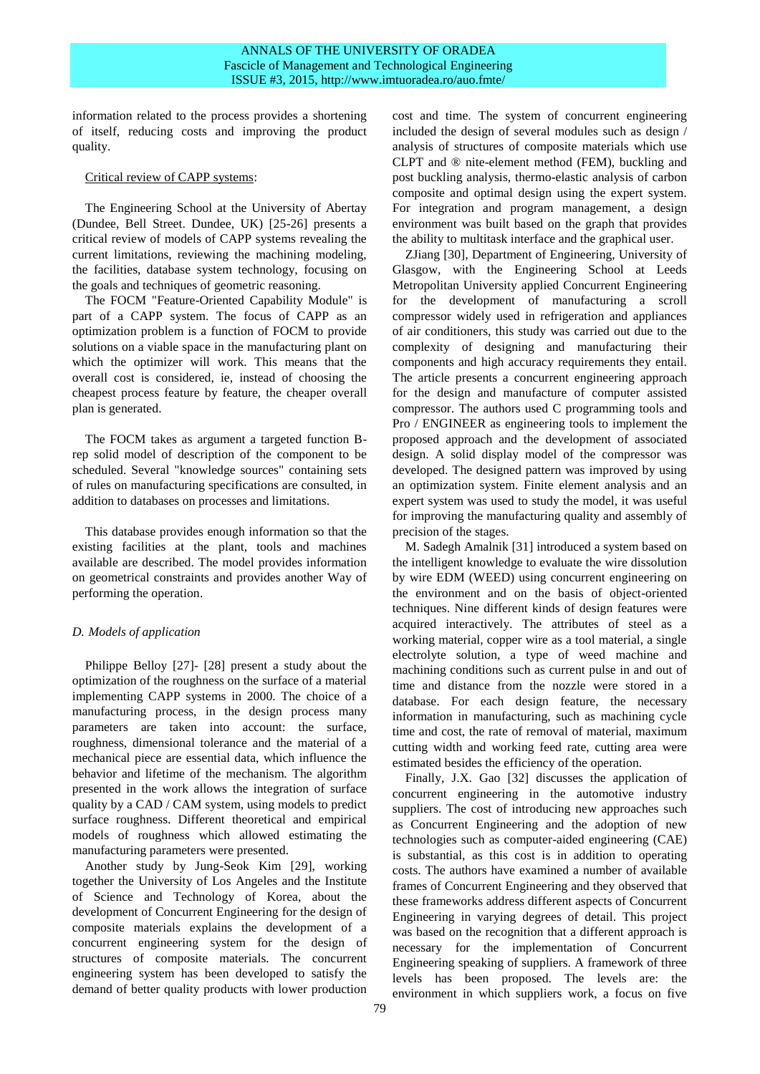information related to the process provides a shortening of itself, reducing costs and improving the product quality.

## Critical review of CAPP systems:

The Engineering School at the University of Abertay (Dundee, Bell Street. Dundee, UK) [25-26] presents a critical review of models of CAPP systems revealing the current limitations, reviewing the machining modeling, the facilities, database system technology, focusing on the goals and techniques of geometric reasoning.

The FOCM "Feature-Oriented Capability Module" is part of a CAPP system. The focus of CAPP as an optimization problem is a function of FOCM to provide solutions on a viable space in the manufacturing plant on which the optimizer will work. This means that the overall cost is considered, ie, instead of choosing the cheapest process feature by feature, the cheaper overall plan is generated.

The FOCM takes as argument a targeted function Brep solid model of description of the component to be scheduled. Several "knowledge sources" containing sets of rules on manufacturing specifications are consulted, in addition to databases on processes and limitations.

This database provides enough information so that the existing facilities at the plant, tools and machines available are described. The model provides information on geometrical constraints and provides another Way of performing the operation.

# *D. Models of application*

Philippe Belloy [27]- [28] present a study about the optimization of the roughness on the surface of a material implementing CAPP systems in 2000. The choice of a manufacturing process, in the design process many parameters are taken into account: the surface, roughness, dimensional tolerance and the material of a mechanical piece are essential data, which influence the behavior and lifetime of the mechanism. The algorithm presented in the work allows the integration of surface quality by a CAD / CAM system, using models to predict surface roughness. Different theoretical and empirical models of roughness which allowed estimating the manufacturing parameters were presented.

Another study by Jung-Seok Kim [29], working together the University of Los Angeles and the Institute of Science and Technology of Korea, about the development of Concurrent Engineering for the design of composite materials explains the development of a concurrent engineering system for the design of structures of composite materials. The concurrent engineering system has been developed to satisfy the demand of better quality products with lower production cost and time. The system of concurrent engineering included the design of several modules such as design / analysis of structures of composite materials which use CLPT and ® nite-element method (FEM), buckling and post buckling analysis, thermo-elastic analysis of carbon composite and optimal design using the expert system. For integration and program management, a design environment was built based on the graph that provides the ability to multitask interface and the graphical user.

ZJiang [30], Department of Engineering, University of Glasgow, with the Engineering School at Leeds Metropolitan University applied Concurrent Engineering for the development of manufacturing a scroll compressor widely used in refrigeration and appliances of air conditioners, this study was carried out due to the complexity of designing and manufacturing their components and high accuracy requirements they entail. The article presents a concurrent engineering approach for the design and manufacture of computer assisted compressor. The authors used C programming tools and Pro / ENGINEER as engineering tools to implement the proposed approach and the development of associated design. A solid display model of the compressor was developed. The designed pattern was improved by using an optimization system. Finite element analysis and an expert system was used to study the model, it was useful for improving the manufacturing quality and assembly of precision of the stages.

M. Sadegh Amalnik [31] introduced a system based on the intelligent knowledge to evaluate the wire dissolution by wire EDM (WEED) using concurrent engineering on the environment and on the basis of object-oriented techniques. Nine different kinds of design features were acquired interactively. The attributes of steel as a working material, copper wire as a tool material, a single electrolyte solution, a type of weed machine and machining conditions such as current pulse in and out of time and distance from the nozzle were stored in a database. For each design feature, the necessary information in manufacturing, such as machining cycle time and cost, the rate of removal of material, maximum cutting width and working feed rate, cutting area were estimated besides the efficiency of the operation.

Finally, J.X. Gao [32] discusses the application of concurrent engineering in the automotive industry suppliers. The cost of introducing new approaches such as Concurrent Engineering and the adoption of new technologies such as computer-aided engineering (CAE) is substantial, as this cost is in addition to operating costs. The authors have examined a number of available frames of Concurrent Engineering and they observed that these frameworks address different aspects of Concurrent Engineering in varying degrees of detail. This project was based on the recognition that a different approach is necessary for the implementation of Concurrent Engineering speaking of suppliers. A framework of three levels has been proposed. The levels are: the environment in which suppliers work, a focus on five